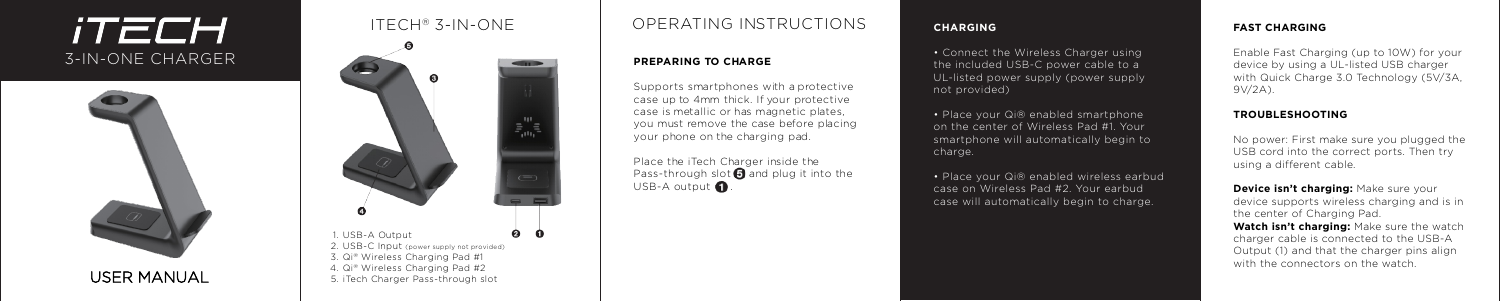## *iTECH* 3-IN-ONE CHARGER



## IT ECH ® 3-IN-ONE



## OPERATING INSTRUCTIONS

Place the iT ech Charger inside the Pass-through slot  $\bigcirc$  and plug it into the USB-A output  $\mathbf \Omega$ .

#### **PREPARING TO CHARGE**

• Connect the Wireless Charger using the included USB-C power cable to a UL-listed power supply (power supply not provided)

Supports smartphones with a protective case up to 4mm thick. If your protective case is metallic or has magnetic plates, you must remove the case before placing your phone on the charging pad.

• Place your Qi® enabled smartphone on the center of Wireless Pad #1. Your smartphone will automatically begin to charge.

USER MANUAL

#### **CHARGING**

**Device isn't charging: Make sure your** device supports wireless charging and is in the center of Charging Pad.

• Place your Qi® enabled wireless earbud case on Wireless Pad #2. Your earbud case will automatically begin to charge.

#### **FAST CHARGING**

Enable Fast Charging (up to 10W) for your device by using a UL-listed USB charger with Quick Charge 3.0 Technology (5V/3A, 9V/2A).

#### **TROUBLESHOOTING**

No power: First make sure you plugged the USB cord into the correct ports. Then try using a different cable.

**Watch isn't charging:** Make sure the watch charger cable is connected to the USB-A Output (1) and that the charger pins align with the connectors on the watch.